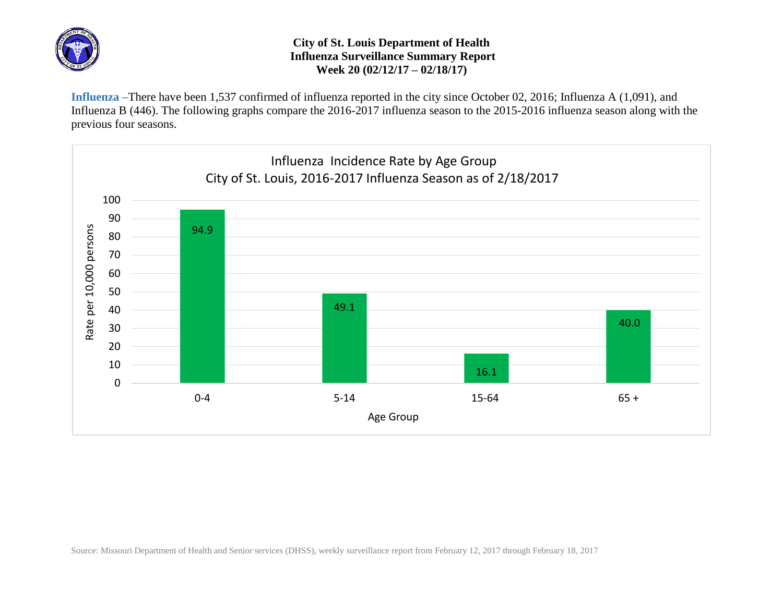

## **City of St. Louis Department of Health Influenza Surveillance Summary Report Week 20 (02/12/17 – 02/18/17)**

**Influenza** –There have been 1,537 confirmed of influenza reported in the city since October 02, 2016; Influenza A (1,091), and Influenza B (446). The following graphs compare the 2016-2017 influenza season to the 2015-2016 influenza season along with the previous four seasons.